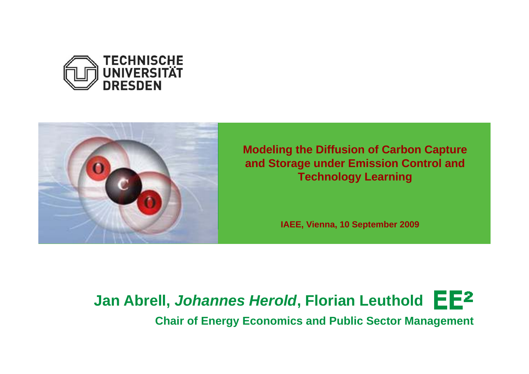



**Modeling the Diffusion of Carbon Capture and Storage under Emission Control and Technology Learning**

**IAEE, Vienna, 10 September 2009**

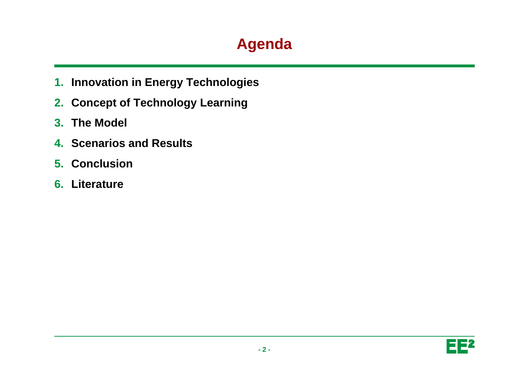# **Agenda**

- **1. Innovation in Energy Technologies**
- **2. Concept of Technology Learning**
- **3. The Model**
- **4. Scenarios and Results**
- **5. Conclusion**
- **6. Literature**

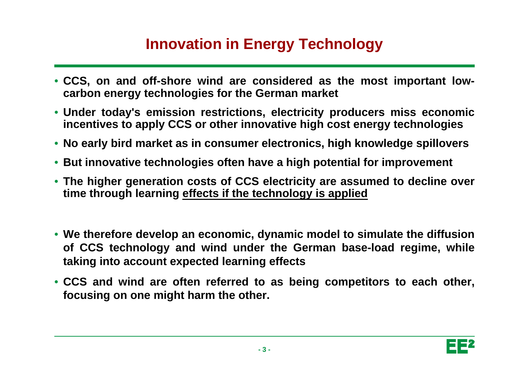## **Innovation in Energy Technology**

- CCS, on and off-shore wind are considered as the most important low**carbon energy technologies for the German market**
- **Under today's emission restrictions, electricity producers miss economic incentives to apply CCS or other innovative high cost energy technologies**
- **No early bird market as in consumer electronics electronics, high knowledge spillovers**
- **But innovative technologies often have <sup>a</sup> high potential for improvement**
- The higher generation costs of CCS electricity are assumed to decline over **time through learning effects if the technology is applied**
- **We therefore develop an economic, dynamic model to simulate the diffusion of CCS technology and wind under the German base-load regime, while taking into account expected learning effects**
- CCS and wind are often referred to as being competitors to each other, **focusing on one might harm the other.**

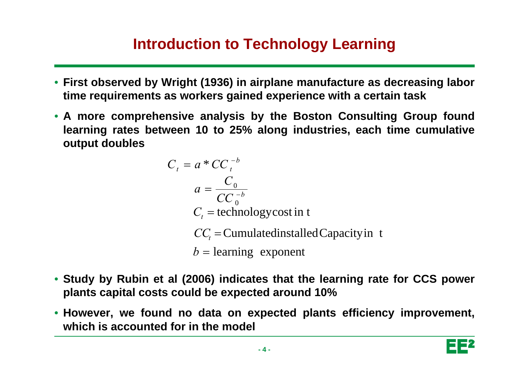## **Introduction to Technology Learning**

- **First observed by Wright (1936) in airplane manufacture as decreasing labor time requirements as workers gained experience with <sup>a</sup> certain task**
- **A more comprehensive analysis by the Boston Consulting Group found learning rates between 10 to 25% along industries, each time cumulative output doubles**

$$
C_t = a * CC_t^{-b}
$$
  
\n
$$
a = \frac{C_0}{CC_0^{-b}}
$$
  
\n
$$
C_t = \text{technology cost in t}
$$
  
\n
$$
CC_t = \text{Cumulated installed Capacity in t}
$$
  
\n
$$
b = \text{learning exponent}
$$

- Study by Rubin et al (2006) indicates that the learning rate for CCS power **plants capital costs could be expected around 10%**
- **However we found no data on expected plants efficiency improvement However, improvement, which is accounted for in the model**

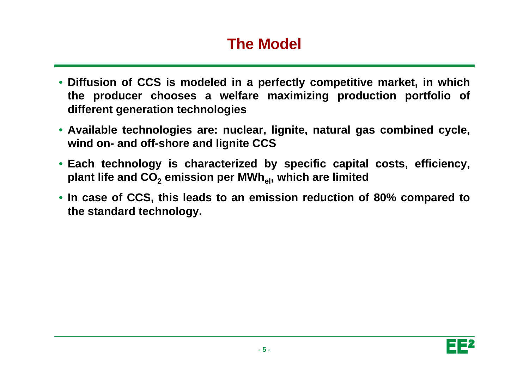## **The Model**

- Diffusion of CCS is modeled in a perfectly competitive market, in which **the producer chooses <sup>a</sup> welfare maximizing production portfolio of different generation technologies**
- **Available technologies are: nuclear, lignite, natural gas combined cycle, wind on- and off-shore and lignite CCS**
- **Each technology is characterized by specific capital costs, efficiency, plant life and CO2 emission per MWhel, which are limited**
- In case of CCS, this leads to an emission reduction of 80% compared to **the standard technology.**

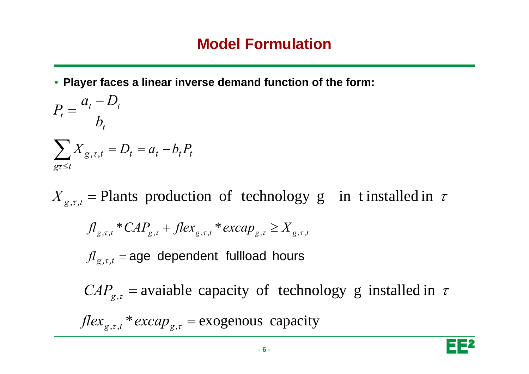• **Player faces a linear inverse demand function of the form:**

$$
P_t = \frac{a_t - D_t}{b_t}
$$
  

$$
\sum_{gt \le t} X_{g,\tau,t} = D_t = a_t - b_t P_t
$$

 $X_{g,\tau,t}$  = Plants production of technology g in t installed in  $\tau$  $f l_{g,\tau,t} * CAP_{g,\tau} + f lex_{g,\tau,t} * except_{g,\tau,t} \geq X_{g,\tau,t}$  $f_l$ <sub>g,*τ*,*t*</sub> = age dependent fullload hours  $CAP_{g,\tau}$  = avaiable capacity of technology g installed in  $\tau$  $flex_{g,\tau,t} * excap_{g,\tau} = exogenous$  capacity

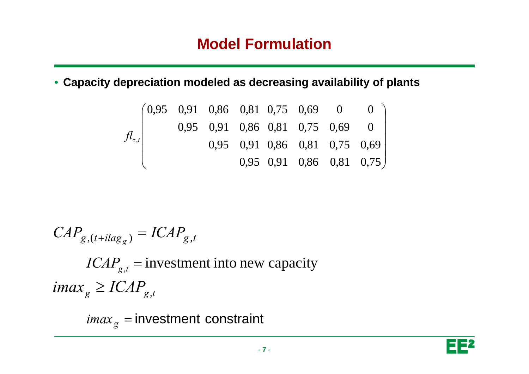#### **Model Formulation**

• **Capacity depreciation modeled as decreasing availability of plants**

$$
f_{t,t} \begin{pmatrix} 0.95 & 0.91 & 0.86 & 0.81 & 0.75 & 0.69 & 0 & 0 \\ 0.95 & 0.91 & 0.86 & 0.81 & 0.75 & 0.69 & 0 \\ 0.95 & 0.91 & 0.86 & 0.81 & 0.75 & 0.69 \\ 0.95 & 0.91 & 0.86 & 0.81 & 0.75 \end{pmatrix}
$$

$$
CAP_{g,(t+ilag_g)} = ICAP_{g,t}
$$
  
ICAP<sub>g,t</sub> = investment into new capacity  
imax<sub>g</sub>  $\ge$  ICAP<sub>g,t</sub>

 $\it{imax}_g$  = investment constraint

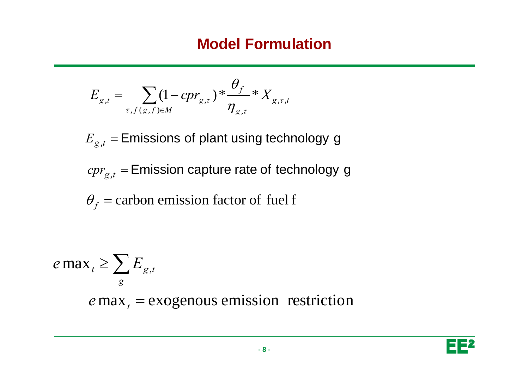#### **Model Formulation**

$$
E_{g,t} = \sum_{\tau, f(g,f) \in M} (1 - \mathit{cpr}_{g,\tau}) \cdot \frac{\theta_f}{\eta_{g,\tau}} \cdot X_{g,\tau,t}
$$

 $E_{g,t}$  = Emissions of plant using technology g

 $cpr_{g,t}$  = Emission capture rate of technology g

 $\theta_f$  = carbon emission factor of fuel f

$$
e \max_{t} \ge \sum_{g} E_{g,t}
$$
  
 
$$
e \max_{t} = \text{exogenous emission restriction}
$$

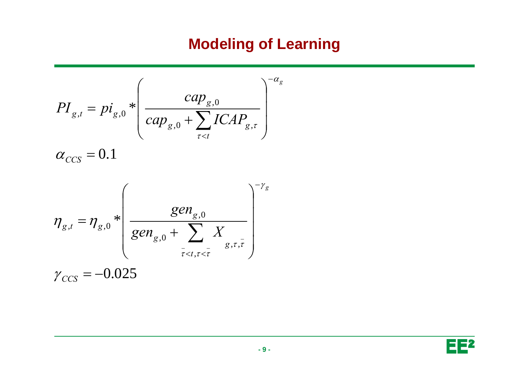## **Modeling of Learning**

$$
PI_{g,t} = pi_{g,0} * \left(\frac{cap_{g,0}}{cap_{g,0} + \sum_{\tau < t} ICAP_{g,\tau}}\right)^{-\alpha_g}
$$
\n
$$
\alpha_{CCS} = 0.1
$$

$$
\eta_{g,t} = \eta_{g,0} * \left( \frac{gen_{g,0}}{gen_{g,0} + \sum_{\bar{\tau} < t, \tau < \bar{\tau}} X} \right)^{-\gamma_g}
$$
\n
$$
\gamma_{CCS} = -0.025
$$

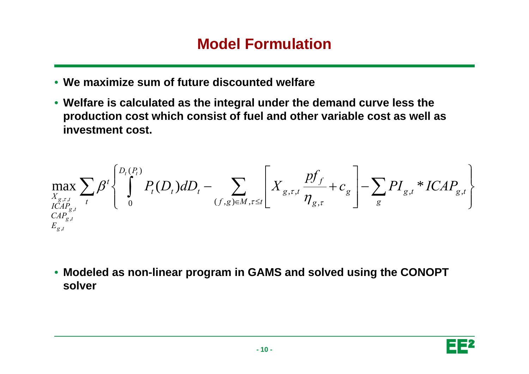#### **Model Formulation**

- **We maximize sum of future discounted welfare**
- $\bullet\,$  Welfare is calculated as the integral under the demand curve less the **production cost which consist of fuel and other variable cost as well as investment cost.**

$$
\max_{\substack{X_{g,\tau,t} \\ ICAP_{g,t} \\ \subseteq AP_{g,t}}} \sum_{t} \beta^{t} \left\{ \int_{0}^{D_t(P_t)} P_t(D_t) dD_t - \sum_{(f,g)\in M, \tau \leq t} \left[ X_{g,\tau,t} \frac{p f_f}{\eta_{g,\tau}} + c_g \right] - \sum_{g} P I_{g,t} * ICAP_{g,t} \right\}
$$

• Modeled as non-linear program in GAMS and solved using the CONOPT **solver**

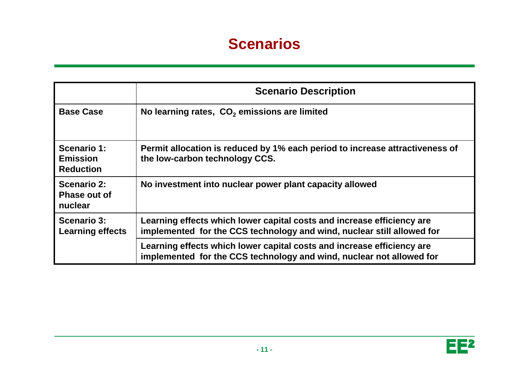#### **Scenarios**

|                                                    | <b>Scenario Description</b>                                                                                                                      |  |  |  |
|----------------------------------------------------|--------------------------------------------------------------------------------------------------------------------------------------------------|--|--|--|
| <b>Base Case</b>                                   | No learning rates, CO <sub>2</sub> emissions are limited                                                                                         |  |  |  |
| Scenario 1:<br><b>Emission</b><br><b>Reduction</b> | Permit allocation is reduced by 1% each period to increase attractiveness of<br>the low-carbon technology CCS.                                   |  |  |  |
| <b>Scenario 2:</b><br>Phase out of<br>nuclear      | No investment into nuclear power plant capacity allowed                                                                                          |  |  |  |
| <b>Scenario 3:</b><br><b>Learning effects</b>      | Learning effects which lower capital costs and increase efficiency are<br>implemented for the CCS technology and wind, nuclear still allowed for |  |  |  |
|                                                    | Learning effects which lower capital costs and increase efficiency are<br>implemented for the CCS technology and wind, nuclear not allowed for   |  |  |  |

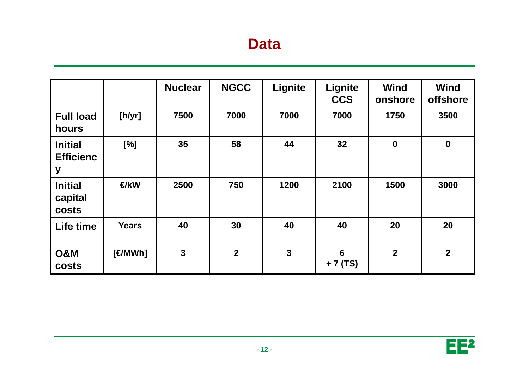#### **Data**

|                                         |                | <b>Nuclear</b>          | <b>NGCC</b>    | Lignite        | Lignite<br><b>CCS</b> | <b>Wind</b><br>onshore | <b>Wind</b><br>offshore |
|-----------------------------------------|----------------|-------------------------|----------------|----------------|-----------------------|------------------------|-------------------------|
| <b>Full load</b><br>hours               | [h/yr]         | 7500                    | 7000           | 7000           | 7000                  | 1750                   | 3500                    |
| <b>Initial</b><br><b>Efficienc</b><br>y | [%]            | 35                      | 58             | 44             | 32                    | $\bf{0}$               | $\mathbf 0$             |
| <b>Initial</b><br>capital<br>costs      | €/kW           | 2500                    | 750            | 1200           | 2100                  | 1500                   | 3000                    |
| Life time                               | <b>Years</b>   | 40                      | 30             | 40             | 40                    | 20                     | 20                      |
| <b>O&amp;M</b><br>costs                 | $[$ $\in$ MWh] | $\overline{\mathbf{3}}$ | $\overline{2}$ | $\overline{3}$ | 6<br>+ 7 (TS)         | $\overline{2}$         | $\overline{\mathbf{2}}$ |

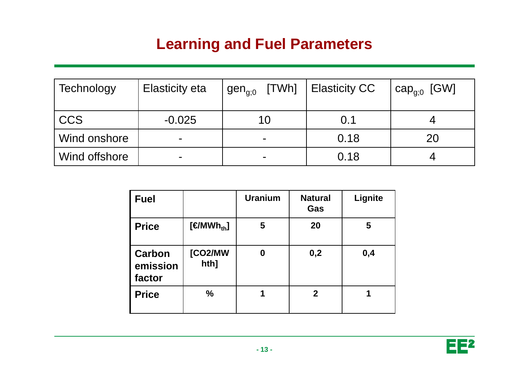## **Learning and Fuel Parameters**

| Technology    | <b>Elasticity eta</b>    | gen <sub>a:0</sub> [TWh]   Elasticity CC |      | $\mathsf{cap}_{\mathsf{g} : 0}$ [GW] |
|---------------|--------------------------|------------------------------------------|------|--------------------------------------|
| <b>CCS</b>    | $-0.025$                 | 10                                       | 0.1  |                                      |
| Wind onshore  | $\overline{\phantom{0}}$ | $\blacksquare$                           | 0.18 | 20                                   |
| Wind offshore | -                        | $\overline{\phantom{a}}$                 | 0.18 |                                      |

| <b>Fuel</b>                  |                                 | <b>Uranium</b> | <b>Natural</b><br>Gas | Lignite |
|------------------------------|---------------------------------|----------------|-----------------------|---------|
| <b>Price</b>                 | $[$ $\in$ MWh <sub>th</sub> $]$ | 5              | 20                    | 5       |
| Carbon<br>emission<br>factor | [CO2/MW<br>hth]                 | 0              | 0,2                   | 0,4     |
| <b>Price</b>                 | $\frac{0}{0}$                   | 1              | $\mathbf{2}$          |         |

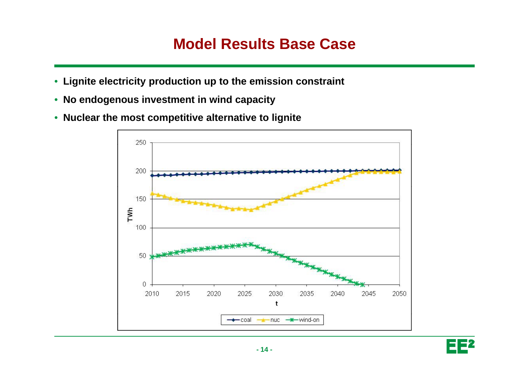#### **Model Results Base Case**

- **Lignite electricity production up to the emission constraint**
- **No endogenous investment in wind capacity**
- **Nuclear the most competitive alternative to lignite**



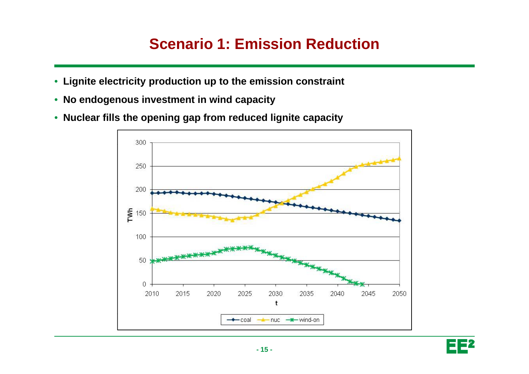#### **Scenario 1: Emission Reduction**

- **Lignite electricity production up to the emission constraint**
- **No endogenous investment in wind capacity**
- **Nuclear fills the opening gap from reduced lignite capacity**



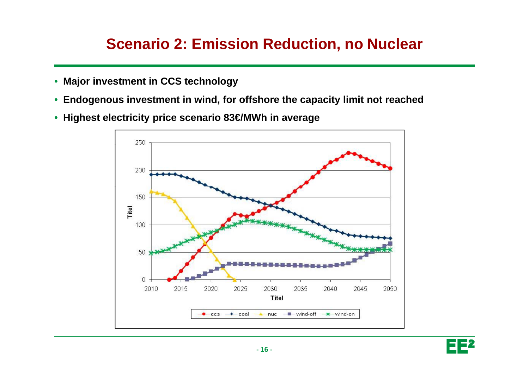#### **Scenario 2: Emission Reduction, no Nuclear**

- **Major investment in CCS technology**
- $\bullet\,$  Endogenous investment in wind, for offshore the capacity limit not reached
- **Highest electricity price scenario 83€/MWh in average**



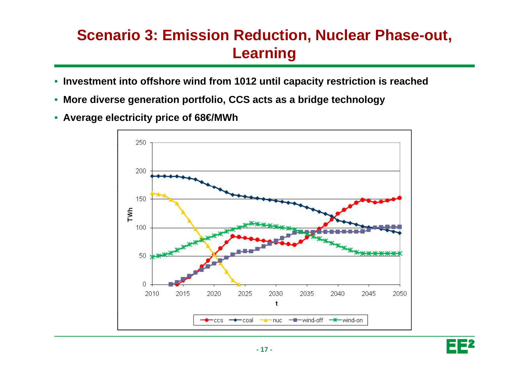## **Scenario 3: Emission Reduction, Nuclear Phase-out, Learnin g**

- **Investment into offshore wind from 1012 until capacity restriction is reached**
- **More diverse generation portfolio, CCS acts as <sup>a</sup> bridge technology generation**
- **Average electricity price of 68€/MWh**



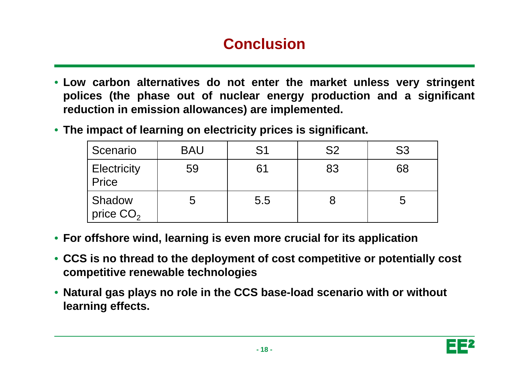## **Conclusion**

- **Low carbon alternatives do not enter the market unless very stringent polices (the phase out of nuclear energy production and <sup>a</sup> significant reduction in emission allowances) are implemented.**
- **The impact of learning on electricity prices is significant.**

| Scenario                    | <b>BAU</b> | S <sub>1</sub> | S <sub>2</sub> | S <sub>3</sub> |
|-----------------------------|------------|----------------|----------------|----------------|
| <b>Electricity</b><br>Price | 59         | 61             | 83             | 68             |
| Shadow<br>price $CO2$       | ა          | 5.5            |                |                |

- **For offshore wind, learning is even more crucial for its application**
- **CCS is no thread to the deployment of cost competitive or potentially cost competitive renewable technologies**
- **Natural gas plays no role in the CCS base-load scenario with or without learning effects.**

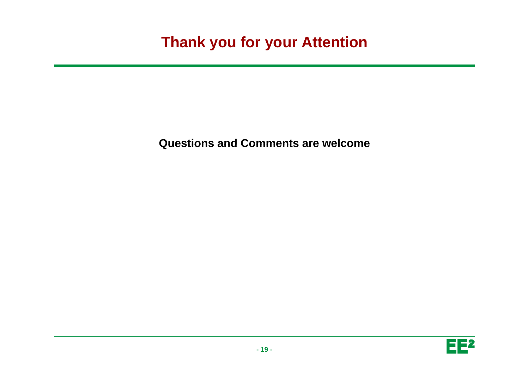### **Thank you for your Attention**

**Questions and Comments are welcome and**

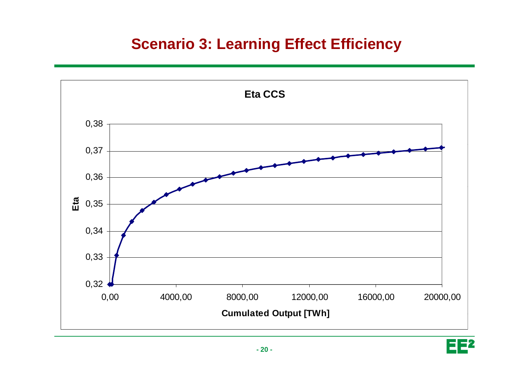#### **Scenario 3: Learning Effect Efficiency**



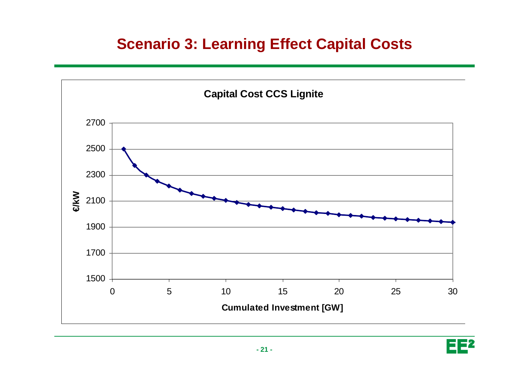#### **Scenario 3: Learning Effect Capital Costs**